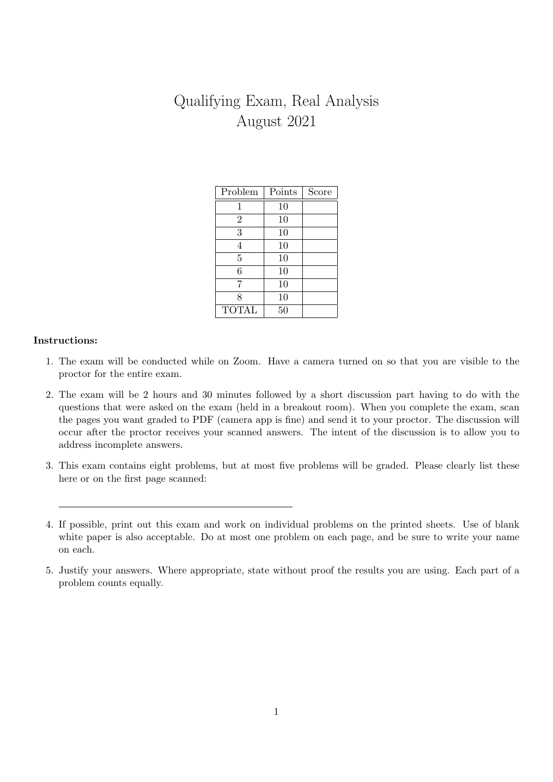# Qualifying Exam, Real Analysis August 2021

| Problem        | Points | Score |
|----------------|--------|-------|
|                | 10     |       |
| $\overline{2}$ | 10     |       |
| 3              | 10     |       |
| 4              | 10     |       |
| $\overline{5}$ | 10     |       |
| 6              | 10     |       |
| 7              | 10     |       |
| 8              | 10     |       |
| <b>TOTAL</b>   | 50     |       |

## Instructions:

- 1. The exam will be conducted while on Zoom. Have a camera turned on so that you are visible to the proctor for the entire exam.
- 2. The exam will be 2 hours and 30 minutes followed by a short discussion part having to do with the questions that were asked on the exam (held in a breakout room). When you complete the exam, scan the pages you want graded to PDF (camera app is fine) and send it to your proctor. The discussion will occur after the proctor receives your scanned answers. The intent of the discussion is to allow you to address incomplete answers.
- 3. This exam contains eight problems, but at most five problems will be graded. Please clearly list these here or on the first page scanned:

<sup>4.</sup> If possible, print out this exam and work on individual problems on the printed sheets. Use of blank white paper is also acceptable. Do at most one problem on each page, and be sure to write your name on each.

<sup>5.</sup> Justify your answers. Where appropriate, state without proof the results you are using. Each part of a problem counts equally.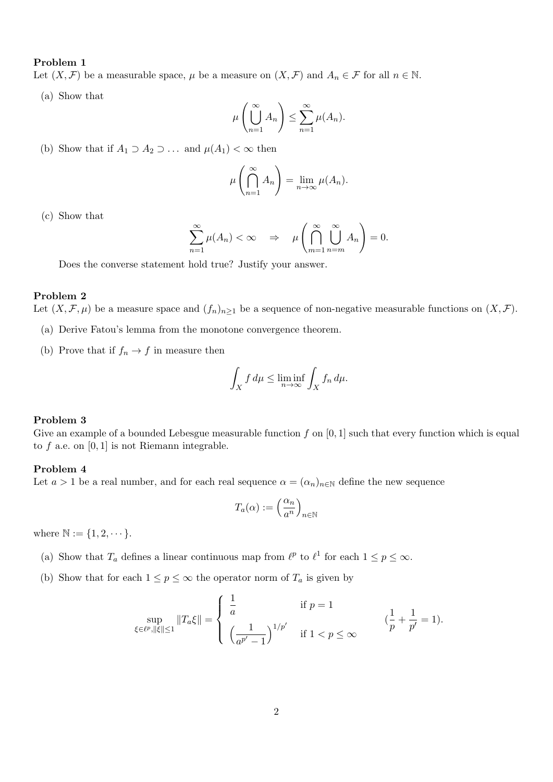#### Problem 1

Let  $(X, \mathcal{F})$  be a measurable space,  $\mu$  be a measure on  $(X, \mathcal{F})$  and  $A_n \in \mathcal{F}$  for all  $n \in \mathbb{N}$ .

(a) Show that

$$
\mu\left(\bigcup_{n=1}^{\infty} A_n\right) \le \sum_{n=1}^{\infty} \mu(A_n).
$$

(b) Show that if  $A_1 \supset A_2 \supset \ldots$  and  $\mu(A_1) < \infty$  then

$$
\mu\left(\bigcap_{n=1}^{\infty} A_n\right) = \lim_{n \to \infty} \mu(A_n).
$$

(c) Show that

$$
\sum_{n=1}^{\infty} \mu(A_n) < \infty \quad \Rightarrow \quad \mu\left(\bigcap_{m=1}^{\infty} \bigcup_{n=m}^{\infty} A_n\right) = 0.
$$

Does the converse statement hold true? Justify your answer.

### Problem 2

Let  $(X, \mathcal{F}, \mu)$  be a measure space and  $(f_n)_{n\geq 1}$  be a sequence of non-negative measurable functions on  $(X, \mathcal{F})$ .

- (a) Derive Fatou's lemma from the monotone convergence theorem.
- (b) Prove that if  $f_n \to f$  in measure then

$$
\int_X f d\mu \le \liminf_{n \to \infty} \int_X f_n d\mu.
$$

#### Problem 3

Give an example of a bounded Lebesgue measurable function  $f$  on  $[0, 1]$  such that every function which is equal to  $f$  a.e. on  $[0, 1]$  is not Riemann integrable.

#### Problem 4

Let  $a > 1$  be a real number, and for each real sequence  $\alpha = (\alpha_n)_{n \in \mathbb{N}}$  define the new sequence

$$
T_a(\alpha) := \left(\frac{\alpha_n}{a^n}\right)_{n \in \mathbb{N}}
$$

where  $\mathbb{N} := \{1, 2, \dots\}.$ 

- (a) Show that  $T_a$  defines a linear continuous map from  $\ell^p$  to  $\ell^1$  for each  $1 \leq p \leq \infty$ .
- (b) Show that for each  $1 \leq p \leq \infty$  the operator norm of  $T_a$  is given by

$$
\sup_{\xi \in \ell^p, \|\xi\| \le 1} \|T_a \xi\| = \begin{cases} \frac{1}{a} & \text{if } p = 1 \\ \left(\frac{1}{a^{p'} - 1}\right)^{1/p'} & \text{if } 1 < p \le \infty \end{cases} \qquad \left(\frac{1}{p} + \frac{1}{p'} = 1\right).
$$